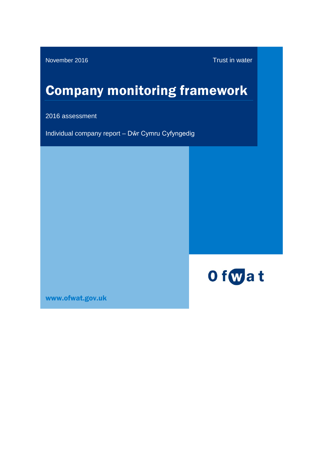November 2016 Trust in water

# Company monitoring framework

2016 assessment

Individual company report – Dŵr Cymru Cyfyngedig



[www.ofwat.gov.uk](http://www.ofwat.gov.uk/)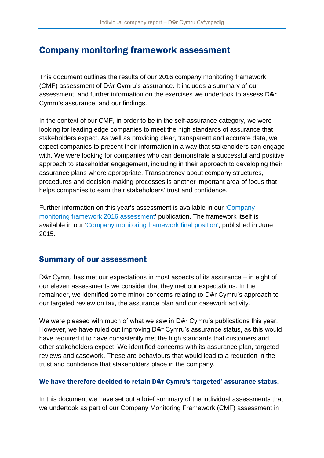# Company monitoring framework assessment

This document outlines the results of our 2016 company monitoring framework (CMF) assessment of Dŵr Cymru's assurance. It includes a summary of our assessment, and further information on the exercises we undertook to assess Dŵr Cymru's assurance, and our findings.

In the context of our CMF, in order to be in the self-assurance category, we were looking for leading edge companies to meet the high standards of assurance that stakeholders expect. As well as providing clear, transparent and accurate data, we expect companies to present their information in a way that stakeholders can engage with. We were looking for companies who can demonstrate a successful and positive approach to stakeholder engagement, including in their approach to developing their assurance plans where appropriate. Transparency about company structures, procedures and decision-making processes is another important area of focus that helps companies to earn their stakeholders' trust and confidence.

Further information on this year's assessment is available in our ['Company](http://www.ofwat.gov.uk/regulated-companies/comparing-companies/information-quality/)  [monitoring framework 2016 assessment'](http://www.ofwat.gov.uk/regulated-companies/comparing-companies/information-quality/) publication. The framework itself is available in our ['Company monitoring framework final position'](http://www.ofwat.gov.uk/publication/company-monitoring-framework-final-position/), published in June 2015.

# Summary of our assessment

Dŵr Cymru has met our expectations in most aspects of its assurance – in eight of our eleven assessments we consider that they met our expectations. In the remainder, we identified some minor concerns relating to Dŵr Cymru's approach to our targeted review on tax, the assurance plan and our casework activity.

We were pleased with much of what we saw in Dŵr Cymru's publications this year. However, we have ruled out improving Dŵr Cymru's assurance status, as this would have required it to have consistently met the high standards that customers and other stakeholders expect. We identified concerns with its assurance plan, targeted reviews and casework. These are behaviours that would lead to a reduction in the trust and confidence that stakeholders place in the company.

### We have therefore decided to retain Dŵr Cymru's 'targeted' assurance status.

In this document we have set out a brief summary of the individual assessments that we undertook as part of our Company Monitoring Framework (CMF) assessment in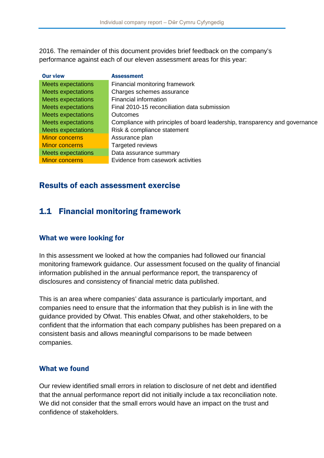2016. The remainder of this document provides brief feedback on the company's performance against each of our eleven assessment areas for this year:

| <b>Our view</b>           | <b>Assessment</b>                                                           |
|---------------------------|-----------------------------------------------------------------------------|
| <b>Meets expectations</b> | Financial monitoring framework                                              |
| <b>Meets expectations</b> | Charges schemes assurance                                                   |
| <b>Meets expectations</b> | Financial information                                                       |
| <b>Meets expectations</b> | Final 2010-15 reconciliation data submission                                |
| <b>Meets expectations</b> | Outcomes                                                                    |
| <b>Meets expectations</b> | Compliance with principles of board leadership, transparency and governance |
| <b>Meets expectations</b> | Risk & compliance statement                                                 |
| <b>Minor concerns</b>     | Assurance plan                                                              |
| <b>Minor concerns</b>     | Targeted reviews                                                            |
| <b>Meets expectations</b> | Data assurance summary                                                      |
| Minor concerns            | Evidence from casework activities                                           |

### Results of each assessment exercise

# 1.1 Financial monitoring framework

### What we were looking for

In this assessment we looked at how the companies had followed our financial monitoring framework guidance. Our assessment focused on the quality of financial information published in the annual performance report, the transparency of disclosures and consistency of financial metric data published.

This is an area where companies' data assurance is particularly important, and companies need to ensure that the information that they publish is in line with the guidance provided by Ofwat. This enables Ofwat, and other stakeholders, to be confident that the information that each company publishes has been prepared on a consistent basis and allows meaningful comparisons to be made between companies.

### What we found

Our review identified small errors in relation to disclosure of net debt and identified that the annual performance report did not initially include a tax reconciliation note. We did not consider that the small errors would have an impact on the trust and confidence of stakeholders.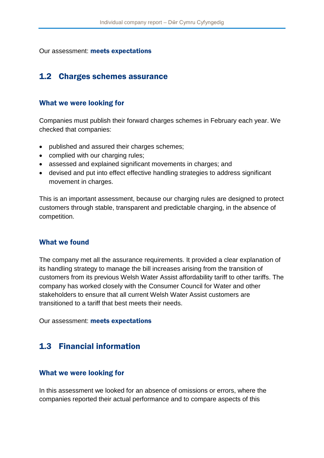Our assessment: meets expectations

### 1.2 Charges schemes assurance

#### What we were looking for

Companies must publish their forward charges schemes in February each year. We checked that companies:

- published and assured their charges schemes;
- complied with our charging rules;
- assessed and explained significant movements in charges; and
- devised and put into effect effective handling strategies to address significant movement in charges.

This is an important assessment, because our charging rules are designed to protect customers through stable, transparent and predictable charging, in the absence of competition.

#### What we found

The company met all the assurance requirements. It provided a clear explanation of its handling strategy to manage the bill increases arising from the transition of customers from its previous Welsh Water Assist affordability tariff to other tariffs. The company has worked closely with the Consumer Council for Water and other stakeholders to ensure that all current Welsh Water Assist customers are transitioned to a tariff that best meets their needs.

Our assessment: meets expectations

### 1.3 Financial information

#### What we were looking for

In this assessment we looked for an absence of omissions or errors, where the companies reported their actual performance and to compare aspects of this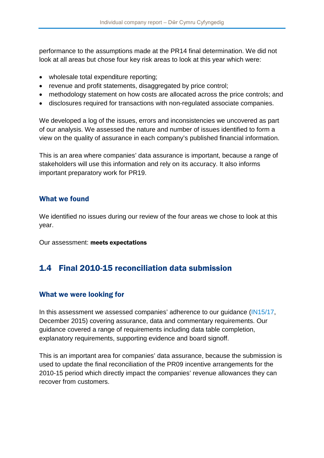performance to the assumptions made at the PR14 final determination. We did not look at all areas but chose four key risk areas to look at this year which were:

- wholesale total expenditure reporting;
- revenue and profit statements, disaggregated by price control;
- methodology statement on how costs are allocated across the price controls; and
- disclosures required for transactions with non-regulated associate companies.

We developed a log of the issues, errors and inconsistencies we uncovered as part of our analysis. We assessed the nature and number of issues identified to form a view on the quality of assurance in each company's published financial information.

This is an area where companies' data assurance is important, because a range of stakeholders will use this information and rely on its accuracy. It also informs important preparatory work for PR19.

#### What we found

We identified no issues during our review of the four areas we chose to look at this year.

Our assessment: meets expectations

### 1.4 Final 2010-15 reconciliation data submission

### What we were looking for

In this assessment we assessed companies' adherence to our quidance [\(IN15/17,](http://www.ofwat.gov.uk/publication/in-1517-expectations-for-company-reporting-of-2014-15-actual-performance-against-2010-15-incentive-mechanisms/) December 2015) covering assurance, data and commentary requirements. Our guidance covered a range of requirements including data table completion, explanatory requirements, supporting evidence and board signoff.

This is an important area for companies' data assurance, because the submission is used to update the final reconciliation of the PR09 incentive arrangements for the 2010-15 period which directly impact the companies' revenue allowances they can recover from customers.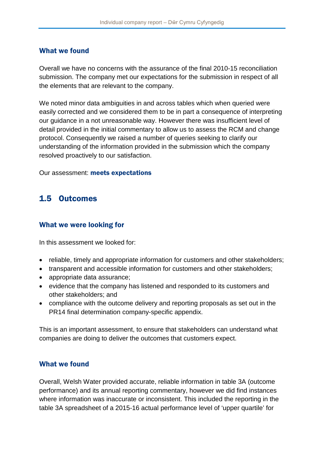### What we found

Overall we have no concerns with the assurance of the final 2010-15 reconciliation submission. The company met our expectations for the submission in respect of all the elements that are relevant to the company.

We noted minor data ambiguities in and across tables which when queried were easily corrected and we considered them to be in part a consequence of interpreting our guidance in a not unreasonable way. However there was insufficient level of detail provided in the initial commentary to allow us to assess the RCM and change protocol. Consequently we raised a number of queries seeking to clarify our understanding of the information provided in the submission which the company resolved proactively to our satisfaction.

Our assessment: meets expectations

### 1.5 Outcomes

#### What we were looking for

In this assessment we looked for:

- reliable, timely and appropriate information for customers and other stakeholders;
- transparent and accessible information for customers and other stakeholders;
- appropriate data assurance:
- evidence that the company has listened and responded to its customers and other stakeholders; and
- compliance with the outcome delivery and reporting proposals as set out in the PR14 final determination company-specific appendix.

This is an important assessment, to ensure that stakeholders can understand what companies are doing to deliver the outcomes that customers expect.

### What we found

Overall, Welsh Water provided accurate, reliable information in table 3A (outcome performance) and its annual reporting commentary, however we did find instances where information was inaccurate or inconsistent. This included the reporting in the table 3A spreadsheet of a 2015-16 actual performance level of 'upper quartile' for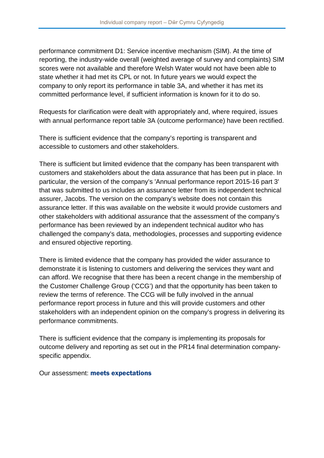performance commitment D1: Service incentive mechanism (SIM). At the time of reporting, the industry-wide overall (weighted average of survey and complaints) SIM scores were not available and therefore Welsh Water would not have been able to state whether it had met its CPL or not. In future years we would expect the company to only report its performance in table 3A, and whether it has met its committed performance level, if sufficient information is known for it to do so.

Requests for clarification were dealt with appropriately and, where required, issues with annual performance report table 3A (outcome performance) have been rectified.

There is sufficient evidence that the company's reporting is transparent and accessible to customers and other stakeholders.

There is sufficient but limited evidence that the company has been transparent with customers and stakeholders about the data assurance that has been put in place. In particular, the version of the company's 'Annual performance report 2015-16 part 3' that was submitted to us includes an assurance letter from its independent technical assurer, Jacobs. The version on the company's website does not contain this assurance letter. If this was available on the website it would provide customers and other stakeholders with additional assurance that the assessment of the company's performance has been reviewed by an independent technical auditor who has challenged the company's data, methodologies, processes and supporting evidence and ensured objective reporting.

There is limited evidence that the company has provided the wider assurance to demonstrate it is listening to customers and delivering the services they want and can afford. We recognise that there has been a recent change in the membership of the Customer Challenge Group ('CCG') and that the opportunity has been taken to review the terms of reference. The CCG will be fully involved in the annual performance report process in future and this will provide customers and other stakeholders with an independent opinion on the company's progress in delivering its performance commitments.

There is sufficient evidence that the company is implementing its proposals for outcome delivery and reporting as set out in the PR14 final determination companyspecific appendix.

Our assessment: meets expectations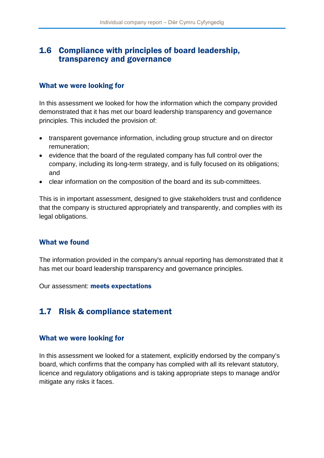### 1.6 Compliance with principles of board leadership, transparency and governance

### What we were looking for

In this assessment we looked for how the information which the company provided demonstrated that it has met our board leadership transparency and governance principles. This included the provision of:

- transparent governance information, including group structure and on director remuneration;
- evidence that the board of the regulated company has full control over the company, including its long-term strategy, and is fully focused on its obligations; and
- clear information on the composition of the board and its sub-committees.

This is in important assessment, designed to give stakeholders trust and confidence that the company is structured appropriately and transparently, and complies with its legal obligations.

### What we found

The information provided in the company's annual reporting has demonstrated that it has met our board leadership transparency and governance principles.

Our assessment: meets expectations

# 1.7 Risk & compliance statement

### What we were looking for

In this assessment we looked for a statement, explicitly endorsed by the company's board, which confirms that the company has complied with all its relevant statutory, licence and regulatory obligations and is taking appropriate steps to manage and/or mitigate any risks it faces.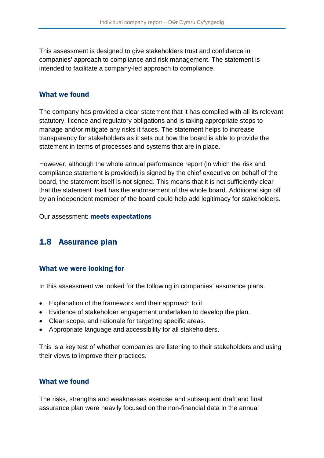This assessment is designed to give stakeholders trust and confidence in companies' approach to compliance and risk management. The statement is intended to facilitate a company-led approach to compliance.

### What we found

The company has provided a clear statement that it has complied with all its relevant statutory, licence and regulatory obligations and is taking appropriate steps to manage and/or mitigate any risks it faces. The statement helps to increase transparency for stakeholders as it sets out how the board is able to provide the statement in terms of processes and systems that are in place.

However, although the whole annual performance report (in which the risk and compliance statement is provided) is signed by the chief executive on behalf of the board, the statement itself is not signed. This means that it is not sufficiently clear that the statement itself has the endorsement of the whole board. Additional sign off by an independent member of the board could help add legitimacy for stakeholders.

Our assessment: meets expectations

### 1.8 Assurance plan

### What we were looking for

In this assessment we looked for the following in companies' assurance plans.

- Explanation of the framework and their approach to it.
- Evidence of stakeholder engagement undertaken to develop the plan.
- Clear scope, and rationale for targeting specific areas.
- Appropriate language and accessibility for all stakeholders.

This is a key test of whether companies are listening to their stakeholders and using their views to improve their practices.

### What we found

The risks, strengths and weaknesses exercise and subsequent draft and final assurance plan were heavily focused on the non-financial data in the annual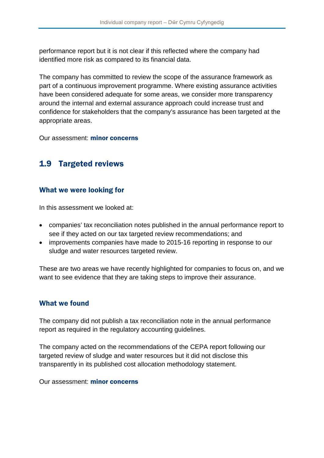performance report but it is not clear if this reflected where the company had identified more risk as compared to its financial data.

The company has committed to review the scope of the assurance framework as part of a continuous improvement programme. Where existing assurance activities have been considered adequate for some areas, we consider more transparency around the internal and external assurance approach could increase trust and confidence for stakeholders that the company's assurance has been targeted at the appropriate areas.

Our assessment: minor concerns

### 1.9 Targeted reviews

#### What we were looking for

In this assessment we looked at:

- companies' tax reconciliation notes published in the annual performance report to see if they acted on our tax targeted review recommendations; and
- improvements companies have made to 2015-16 reporting in response to our sludge and water resources targeted review.

These are two areas we have recently highlighted for companies to focus on, and we want to see evidence that they are taking steps to improve their assurance.

### What we found

The company did not publish a tax reconciliation note in the annual performance report as required in the regulatory accounting guidelines.

The company acted on the recommendations of the CEPA report following our targeted review of sludge and water resources but it did not disclose this transparently in its published cost allocation methodology statement.

Our assessment: minor concerns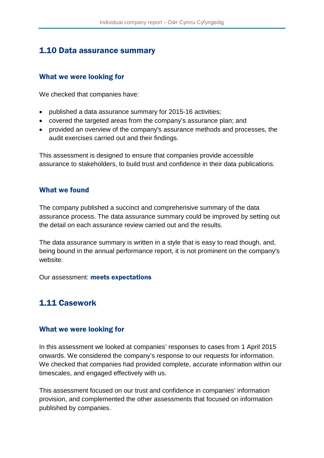## 1.10 Data assurance summary

### What we were looking for

We checked that companies have:

- published a data assurance summary for 2015-16 activities;
- covered the targeted areas from the company's assurance plan; and
- provided an overview of the company's assurance methods and processes, the audit exercises carried out and their findings.

This assessment is designed to ensure that companies provide accessible assurance to stakeholders, to build trust and confidence in their data publications.

### What we found

The company published a succinct and comprehensive summary of the data assurance process. The data assurance summary could be improved by setting out the detail on each assurance review carried out and the results.

The data assurance summary is written in a style that is easy to read though, and, being bound in the annual performance report, it is not prominent on the company's website.

Our assessment: meets expectations

# 1.11 Casework

### What we were looking for

In this assessment we looked at companies' responses to cases from 1 April 2015 onwards. We considered the company's response to our requests for information. We checked that companies had provided complete, accurate information within our timescales, and engaged effectively with us.

This assessment focused on our trust and confidence in companies' information provision, and complemented the other assessments that focused on information published by companies.